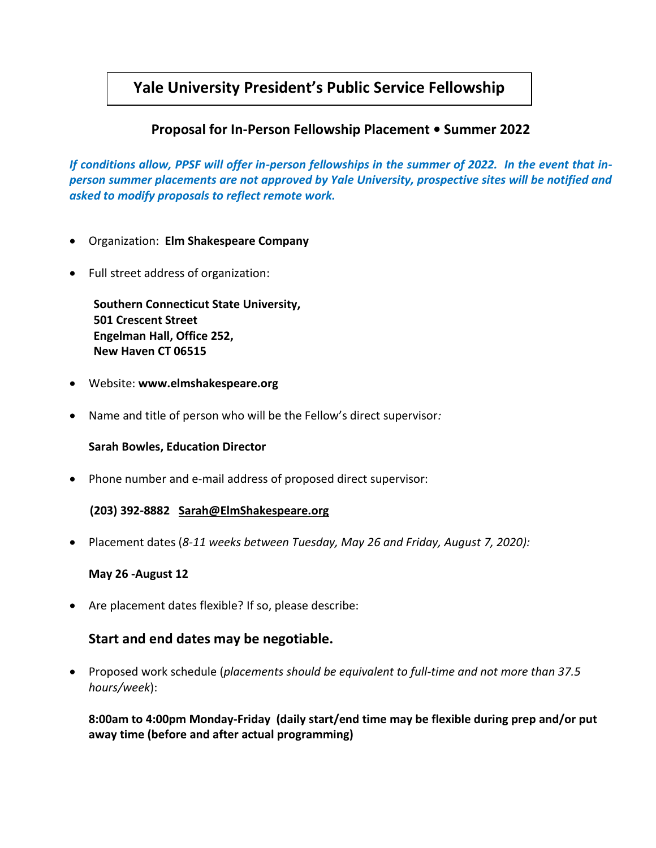# **Yale University President's Public Service Fellowship**

## **Proposal for In-Person Fellowship Placement • Summer 2022**

*If conditions allow, PPSF will offer in-person fellowships in the summer of 2022. In the event that inperson summer placements are not approved by Yale University, prospective sites will be notified and asked to modify proposals to reflect remote work.*

- Organization: **Elm Shakespeare Company**
- Full street address of organization:

 **Southern Connecticut State University, 501 Crescent Street Engelman Hall, Office 252, New Haven CT 06515**

- Website: **www.elmshakespeare.org**
- Name and title of person who will be the Fellow's direct supervisor*:*

#### **Sarah Bowles, Education Director**

• Phone number and e-mail address of proposed direct supervisor:

#### **(203) 392-8882 [Sarah@ElmShakespeare.org](mailto:Sarah@ElmShakespeare.org)**

• Placement dates (*8-11 weeks between Tuesday, May 26 and Friday, August 7, 2020):*

#### **May 26 -August 12**

• Are placement dates flexible? If so, please describe:

## **Start and end dates may be negotiable.**

• Proposed work schedule (*placements should be equivalent to full-time and not more than 37.5 hours/week*):

**8:00am to 4:00pm Monday-Friday (daily start/end time may be flexible during prep and/or put away time (before and after actual programming)**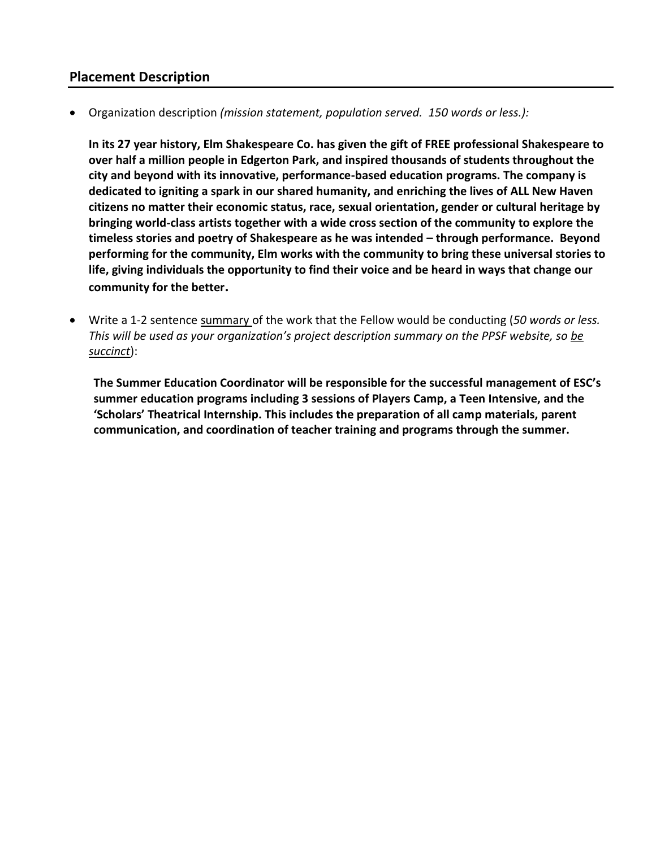### **Placement Description**

• Organization description *(mission statement, population served. 150 words or less.):*

**In its 27 year history, Elm Shakespeare Co. has given the gift of FREE professional Shakespeare to over half a million people in Edgerton Park, and inspired thousands of students throughout the city and beyond with its innovative, performance-based education programs. The company is dedicated to igniting a spark in our shared humanity, and enriching the lives of ALL New Haven citizens no matter their economic status, race, sexual orientation, gender or cultural heritage by bringing world-class artists together with a wide cross section of the community to explore the timeless stories and poetry of Shakespeare as he was intended – through performance. Beyond performing for the community, Elm works with the community to bring these universal stories to life, giving individuals the opportunity to find their voice and be heard in ways that change our community for the better.**

• Write a 1-2 sentence summary of the work that the Fellow would be conducting (*50 words or less. This will be used as your organization's project description summary on the PPSF website, so be succinct*):

**The Summer Education Coordinator will be responsible for the successful management of ESC's summer education programs including 3 sessions of Players Camp, a Teen Intensive, and the 'Scholars' Theatrical Internship. This includes the preparation of all camp materials, parent communication, and coordination of teacher training and programs through the summer.**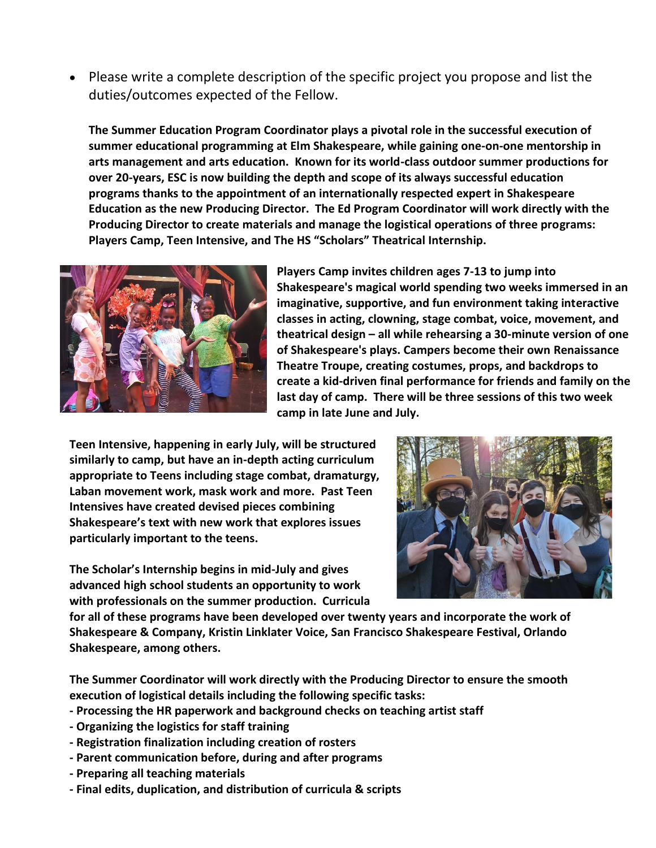• Please write a complete description of the specific project you propose and list the duties/outcomes expected of the Fellow.

**The Summer Education Program Coordinator plays a pivotal role in the successful execution of summer educational programming at Elm Shakespeare, while gaining one-on-one mentorship in arts management and arts education. Known for its world-class outdoor summer productions for over 20-years, ESC is now building the depth and scope of its always successful education programs thanks to the appointment of an internationally respected expert in Shakespeare Education as the new Producing Director. The Ed Program Coordinator will work directly with the Producing Director to create materials and manage the logistical operations of three programs: Players Camp, Teen Intensive, and The HS "Scholars" Theatrical Internship.** 



**Players Camp invites children ages 7-13 to jump into Shakespeare's magical world spending two weeks immersed in an imaginative, supportive, and fun environment taking interactive classes in acting, clowning, stage combat, voice, movement, and theatrical design – all while rehearsing a 30-minute version of one of Shakespeare's plays. Campers become their own Renaissance Theatre Troupe, creating costumes, props, and backdrops to create a kid-driven final performance for friends and family on the last day of camp. There will be three sessions of this two week camp in late June and July.** 

**Teen Intensive, happening in early July, will be structured similarly to camp, but have an in-depth acting curriculum appropriate to Teens including stage combat, dramaturgy, Laban movement work, mask work and more. Past Teen Intensives have created devised pieces combining Shakespeare's text with new work that explores issues particularly important to the teens.** 

**The Scholar's Internship begins in mid-July and gives advanced high school students an opportunity to work with professionals on the summer production. Curricula** 



**for all of these programs have been developed over twenty years and incorporate the work of Shakespeare & Company, Kristin Linklater Voice, San Francisco Shakespeare Festival, Orlando Shakespeare, among others.** 

**The Summer Coordinator will work directly with the Producing Director to ensure the smooth execution of logistical details including the following specific tasks:**

- **- Processing the HR paperwork and background checks on teaching artist staff**
- **- Organizing the logistics for staff training**
- **- Registration finalization including creation of rosters**
- **- Parent communication before, during and after programs**
- **- Preparing all teaching materials**
- **- Final edits, duplication, and distribution of curricula & scripts**